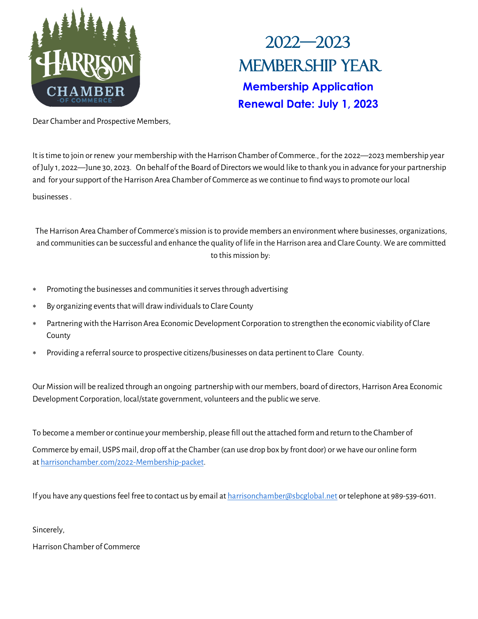

# 2022—2023 Membership Year **Membership Application Renewal Date: July 1, 2023**

Dear Chamber and Prospective Members,

It is time to join or renew your membership with the Harrison Chamber of Commerce., for the 2022—2023 membership year of July 1, 2022—June 30, 2023. On behalf of the Board of Directors we would like to thank you in advance for your partnership and for your support of the Harrison Area Chamber of Commerce as we continue to find ways to promote our local businesses .

The Harrison Area Chamber of Commerce's mission is to provide members an environment where businesses, organizations, and communities can be successful and enhance the quality of life in the Harrison area and Clare County. We are committed to this mission by:

- Promoting the businesses and communities it serves through advertising
- By organizing events that will draw individuals to Clare County
- Partnering with the Harrison Area Economic Development Corporation to strengthen the economic viability of Clare County
- Providing a referral source to prospective citizens/businesses on data pertinent to Clare County.

Our Mission will be realized through an ongoing partnership with our members, board of directors, Harrison Area Economic Development Corporation, local/state government, volunteers and the public we serve.

To become a member or continue your membership, please fill out the attached form and return to the Chamber of Commerce by email, USPS mail, drop off at the Chamber (can use drop box by front door) or we have our online form at [harrisonchamber.com/2022](http://form.jotform.com/harrisonchamber/2021-Membership-packet)-Membership-packet.

If you have any questions feel free to contact us by email at [harrisonchamber@sbcglobal.net](mailto:harrisonchamber@sbcglobal.net) or telephone at 989-539-6011.

Sincerely,

Harrison Chamber of Commerce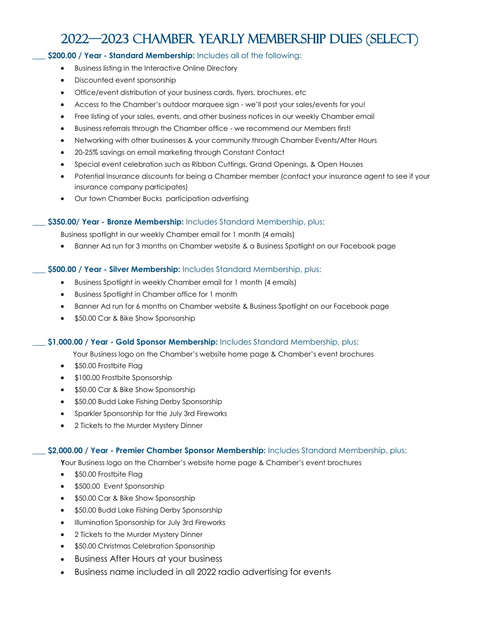### 2022—2023 CHAMBER Yearly MEMBERSHIP DUES (Select)

#### **\_\_\_ \$200.00 / Year - Standard Membership:** Includes all of the following:

- Business listing in the Interactive Online Directory
- Discounted event sponsorship
- Office/event distribution of your business cards, flyers, brochures, etc
- Access to the Chamber's outdoor marquee sign we'll post your sales/events for you!
- Free listing of your sales, events, and other business notices in our weekly Chamber email
- Business referrals through the Chamber office we recommend our Members first!
- Networking with other businesses & your community through Chamber Events/After Hours
- 20-25% savings on email marketing through Constant Contact
- Special event celebration such as Ribbon Cuttings, Grand Openings, & Open Houses
- Potential Insurance discounts for being a Chamber member (contact your insurance agent to see if your insurance company participates)
- Our town Chamber Bucks participation advertising

#### **\_\_\_ \$350.00/ Year - Bronze Membership:** Includes Standard Membership, plus:

Business spotlight in our weekly Chamber email for 1 month (4 emails)

• Banner Ad run for 3 months on Chamber website & a Business Spotlight on our Facebook page

#### **\_\_\_ \$500.00 / Year - Silver Membership:** Includes Standard Membership, plus:

- Business Spotlight in weekly Chamber email for 1 month (4 emails)
- Business Spotlight in Chamber office for 1 month
- Banner Ad run for 6 months on Chamber website & Business Spotlight on our Facebook page
- \$50.00 Car & Bike Show Sponsorship

#### **\_\_\_ \$1,000.00 / Year - Gold Sponsor Membership:** Includes Standard Membership, plus:

Your Business logo on the Chamber's website home page & Chamber's event brochures

- \$50.00 Frostbite Flag
- \$100.00 Frostbite Sponsorship
- \$50.00 Car & Bike Show Sponsorship
- \$50.00 Budd Lake Fishing Derby Sponsorship
- Sparkler Sponsorship for the July 3rd Fireworks
- 2 Tickets to the Murder Mystery Dinner

#### **\_\_\_ \$2,000.00 / Year - Premier Chamber Sponsor Membership:** Includes Standard Membership, plus:

**Y**our Business logo on the Chamber's website home page & Chamber's event brochures

- \$50.00 Frostbite Flag
- \$500.00 Event Sponsorship
- \$50.00 Car & Bike Show Sponsorship
- \$50.00 Budd Lake Fishing Derby Sponsorship
- Illumination Sponsorship for July 3rd Fireworks
- 2 Tickets to the Murder Mystery Dinner
- \$50.00 Christmas Celebration Sponsorship
- Business After Hours at your business
- Business name included in all 2022 radio advertising for events